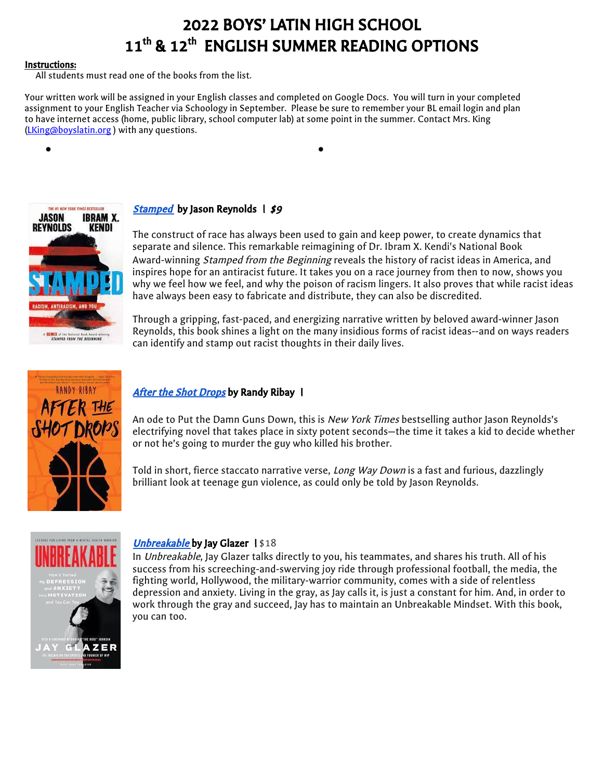# 2022 BOYS' LATIN HIGH SCHOOL 11<sup>th</sup> & 12<sup>th</sup> ENGLISH SUMMER READING OPTIONS

#### Instructions:

All students must read one of the books from the list.

Your written work will be assigned in your English classes and completed on Google Docs. You will turn in your completed assignment to your English Teacher via Schoology in September. Please be sure to remember your BL email login and plan to have internet access (home, public library, school computer lab) at some point in the summer. Contact Mrs. King ([LKing@boyslatin.org](mailto:LKing@boyslatin.org) ) with any questions.



# **[Stamped](https://www.amazon.com/Stamped-Antiracism-National-Award-winning-Beginning/dp/0316453692)** by Jason Reynolds  $\vert$  \$9

● ●

The construct of race has always been used to gain and keep power, to create dynamics that separate and silence. This remarkable reimagining of Dr. Ibram X. Kendi's National Book Award-winning *Stamped from the Beginning* reveals the history of racist ideas in America, and inspires hope for an antiracist future. It takes you on a race journey from then to now, shows you why we feel how we feel, and why the poison of racism lingers. It also proves that while racist ideas have always been easy to fabricate and distribute, they can also be discredited.

Through a gripping, fast-paced, and energizing narrative written by beloved award-winner Jason Reynolds, this book shines a light on the many insidious forms of racist ideas--and on ways readers can identify and stamp out racist thoughts in their daily lives.



# After the Shot [Drops](https://www.amazon.com/After-Shot-Drops-Randy-Ribay/dp/1328702278) by Randy Ribay |

An ode to Put the Damn Guns Down, this is New York Times bestselling author Jason Reynolds's electrifying novel that takes place in sixty potent seconds—the time it takes a kid to decide whether or not he's going to murder the guy who killed his brother.

Told in short, fierce staccato narrative verse, Long Way Down is a fast and furious, dazzlingly brilliant look at teenage gun violence, as could only be told by Jason Reynolds.



#### [Unbreakable](https://www.amazon.com/Unbreakable-Jay-Glazer/dp/0063062852/ref=tmm_hrd_swatch_0?_encoding=UTF8&qid=1654703721&sr=1-1) by Jay Glazer 1\$18

In Unbreakable, Jay Glazer talks directly to you, his teammates, and shares his truth. All of his success from his screeching-and-swerving joy ride through professional football, the media, the fighting world, Hollywood, the military-warrior community, comes with a side of relentless depression and anxiety. Living in the gray, as Jay calls it, is just a constant for him. And, in order to work through the gray and succeed, Jay has to maintain an Unbreakable Mindset. With this book, you can too.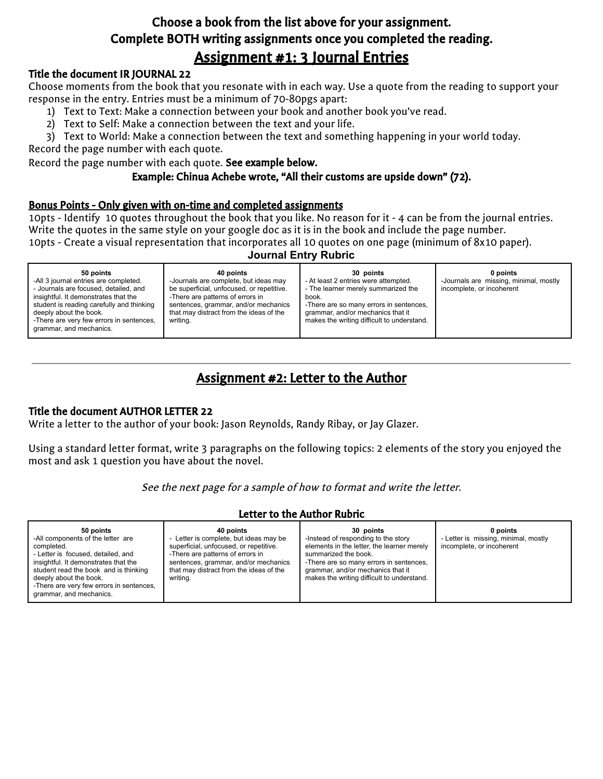# Choose a book from the list above for your assignment. Complete BOTH writing assignments once you completed the reading. Assignment #1: 3 Journal Entries

# Title the document IR JOURNAL 22

Choose moments from the book that you resonate with in each way. Use a quote from the reading to support your response in the entry. Entries must be a minimum of 70-80pgs apart:

- 1) Text to Text: Make a connection between your book and another book you've read.
- 2) Text to Self: Make a connection between the text and your life.

3) Text to World: Make a connection between the text and something happening in your world today.

Record the page number with each quote.

Record the page number with each quote. See example below.

# Example: Chinua Achebe wrote, "All their customs are upside down" (72).

# Bonus Points - Only given with on-time and completed assignments

10pts - Identify 10 quotes throughout the book that you like. No reason for it - 4 can be from the journal entries. Write the quotes in the same style on your google doc as it is in the book and include the page number.

10pts - Create a visual representation that incorporates all 10 quotes on one page (minimum of 8x10 paper).

# **Journal Entry Rubric**

| 50 points<br>-All 3 journal entries are completed.<br>- Journals are focused, detailed, and<br>insightful. It demonstrates that the<br>student is reading carefully and thinking<br>deeply about the book.<br>-There are very few errors in sentences,<br>grammar, and mechanics. | 40 points<br>-Journals are complete, but ideas may<br>be superficial, unfocused, or repetitive.<br>-There are patterns of errors in<br>sentences, grammar, and/or mechanics<br>that may distract from the ideas of the<br>writing. | 30 points<br>- At least 2 entries were attempted.<br>- The learner merely summarized the<br>book.<br>-There are so many errors in sentences,<br>grammar, and/or mechanics that it<br>makes the writing difficult to understand. | 0 points<br>-Journals are missing, minimal, mostly<br>incomplete, or incoherent |
|-----------------------------------------------------------------------------------------------------------------------------------------------------------------------------------------------------------------------------------------------------------------------------------|------------------------------------------------------------------------------------------------------------------------------------------------------------------------------------------------------------------------------------|---------------------------------------------------------------------------------------------------------------------------------------------------------------------------------------------------------------------------------|---------------------------------------------------------------------------------|
|                                                                                                                                                                                                                                                                                   |                                                                                                                                                                                                                                    |                                                                                                                                                                                                                                 |                                                                                 |

# Assignment #2: Letter to the Author

# Title the document AUTHOR LETTER 22

Write a letter to the author of your book: Jason Reynolds, Randy Ribay, or Jay Glazer.

Using a standard letter format, write 3 paragraphs on the following topics: 2 elements of the story you enjoyed the most and ask 1 question you have about the novel.

See the next page for <sup>a</sup> sample of how to format and write the letter.

# Letter to the Author Rubric

| 50 points<br>40 points<br>-All components of the letter are<br>Letter is complete, but ideas may be<br>superficial, unfocused, or repetitive.<br>completed.<br>- Letter is focused, detailed, and<br>-There are patterns of errors in<br>insightful. It demonstrates that the<br>sentences, grammar, and/or mechanics<br>student read the book and is thinking<br>that may distract from the ideas of the<br>deeply about the book.<br>writing.<br>-There are very few errors in sentences,<br>grammar, and mechanics. | 30 points<br>-Instead of responding to the story<br>elements in the letter, the learner merely<br>summarized the book.<br>-There are so many errors in sentences,<br>grammar, and/or mechanics that it<br>makes the writing difficult to understand. | 0 points<br>- Letter is missing, minimal, mostly<br>incomplete, or incoherent |
|------------------------------------------------------------------------------------------------------------------------------------------------------------------------------------------------------------------------------------------------------------------------------------------------------------------------------------------------------------------------------------------------------------------------------------------------------------------------------------------------------------------------|------------------------------------------------------------------------------------------------------------------------------------------------------------------------------------------------------------------------------------------------------|-------------------------------------------------------------------------------|
|------------------------------------------------------------------------------------------------------------------------------------------------------------------------------------------------------------------------------------------------------------------------------------------------------------------------------------------------------------------------------------------------------------------------------------------------------------------------------------------------------------------------|------------------------------------------------------------------------------------------------------------------------------------------------------------------------------------------------------------------------------------------------------|-------------------------------------------------------------------------------|